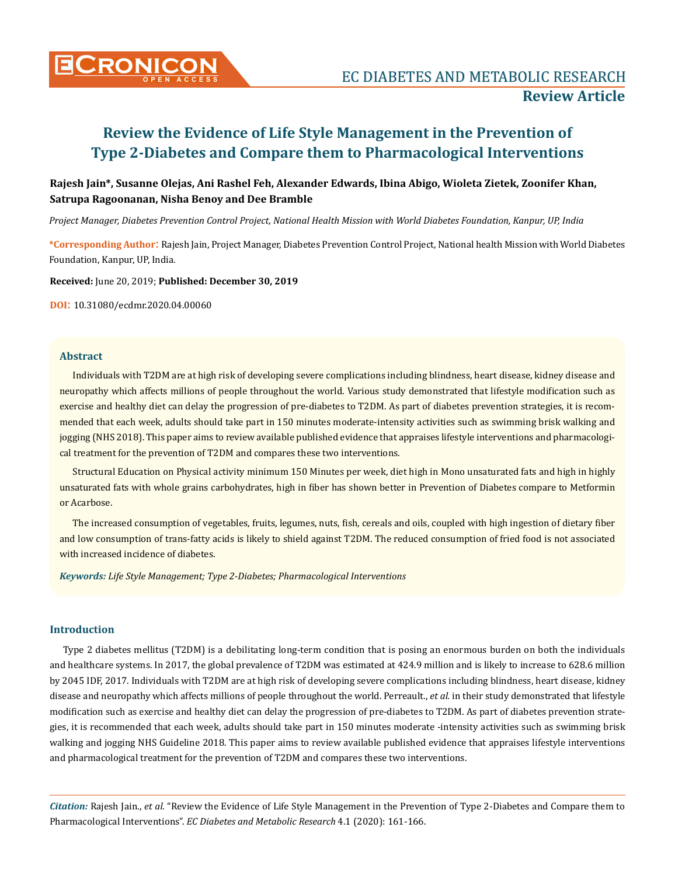

# **Review the Evidence of Life Style Management in the Prevention of Type 2-Diabetes and Compare them to Pharmacological Interventions**

# **Rajesh Jain\*, Susanne Olejas, Ani Rashel Feh, Alexander Edwards, Ibina Abigo, Wioleta Zietek, Zoonifer Khan, Satrupa Ragoonanan, Nisha Benoy and Dee Bramble**

*Project Manager, Diabetes Prevention Control Project, National Health Mission with World Diabetes Foundation, Kanpur, UP, India* 

**\*Corresponding Author**: Rajesh Jain, Project Manager, Diabetes Prevention Control Project, National health Mission with World Diabetes Foundation, Kanpur, UP, India.

**Received:** June 20, 2019; **Published: December 30, 2019**

**DOI**: 10.31080/ecdmr.2020.04.00060

## **Abstract**

Individuals with T2DM are at high risk of developing severe complications including blindness, heart disease, kidney disease and neuropathy which affects millions of people throughout the world. Various study demonstrated that lifestyle modification such as exercise and healthy diet can delay the progression of pre-diabetes to T2DM. As part of diabetes prevention strategies, it is recommended that each week, adults should take part in 150 minutes moderate-intensity activities such as swimming brisk walking and jogging (NHS 2018). This paper aims to review available published evidence that appraises lifestyle interventions and pharmacological treatment for the prevention of T2DM and compares these two interventions.

Structural Education on Physical activity minimum 150 Minutes per week, diet high in Mono unsaturated fats and high in highly unsaturated fats with whole grains carbohydrates, high in fiber has shown better in Prevention of Diabetes compare to Metformin or Acarbose.

The increased consumption of vegetables, fruits, legumes, nuts, fish, cereals and oils, coupled with high ingestion of dietary fiber and low consumption of trans-fatty acids is likely to shield against T2DM. The reduced consumption of fried food is not associated with increased incidence of diabetes.

*Keywords: Life Style Management; Type 2-Diabetes; Pharmacological Interventions*

#### **Introduction**

Type 2 diabetes mellitus (T2DM) is a debilitating long-term condition that is posing an enormous burden on both the individuals and healthcare systems. In 2017, the global prevalence of T2DM was estimated at 424.9 million and is likely to increase to 628.6 million by 2045 IDF, 2017. Individuals with T2DM are at high risk of developing severe complications including blindness, heart disease, kidney disease and neuropathy which affects millions of people throughout the world. Perreault., *et al.* in their study demonstrated that lifestyle modification such as exercise and healthy diet can delay the progression of pre-diabetes to T2DM. As part of diabetes prevention strategies, it is recommended that each week, adults should take part in 150 minutes moderate -intensity activities such as swimming brisk walking and jogging NHS Guideline 2018. This paper aims to review available published evidence that appraises lifestyle interventions and pharmacological treatment for the prevention of T2DM and compares these two interventions.

*Citation:* Rajesh Jain., *et al*. "Review the Evidence of Life Style Management in the Prevention of Type 2-Diabetes and Compare them to Pharmacological Interventions". *EC Diabetes and Metabolic Research* 4.1 (2020): 161-166.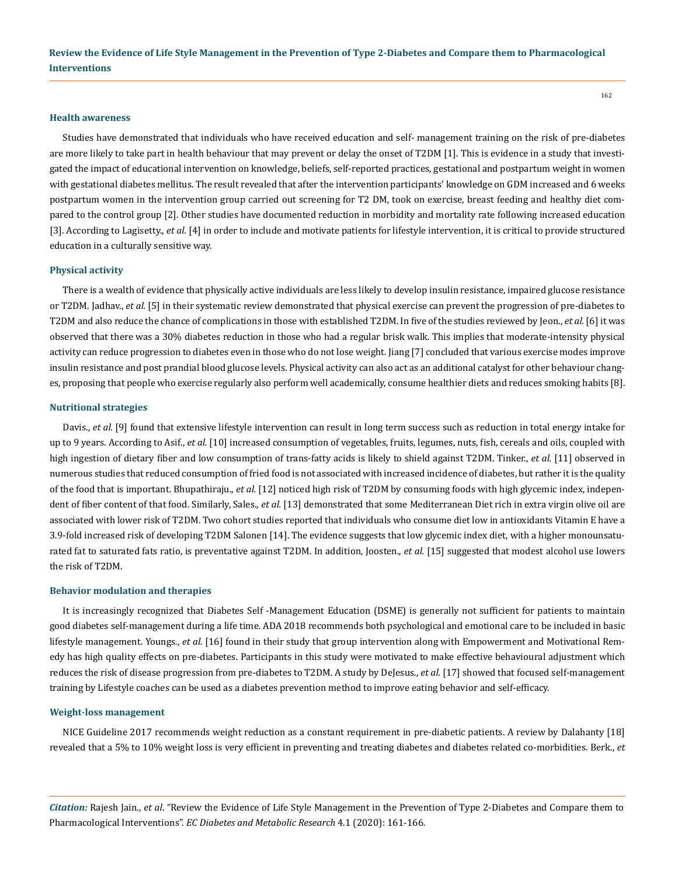#### **Health awareness**

Studies have demonstrated that individuals who have received education and self- management training on the risk of pre-diabetes are more likely to take part in health behaviour that may prevent or delay the onset of T2DM [1]. This is evidence in a study that investigated the impact of educational intervention on knowledge, beliefs, self-reported practices, gestational and postpartum weight in women with gestational diabetes mellitus. The result revealed that after the intervention participants' knowledge on GDM increased and 6 weeks postpartum women in the intervention group carried out screening for T2 DM, took on exercise, breast feeding and healthy diet compared to the control group [2]. Other studies have documented reduction in morbidity and mortality rate following increased education [3]. According to Lagisetty., *et al.* [4] in order to include and motivate patients for lifestyle intervention, it is critical to provide structured education in a culturally sensitive way.

#### **Physical activity**

There is a wealth of evidence that physically active individuals are less likely to develop insulin resistance, impaired glucose resistance or T2DM. Jadhav., *et al.* [5] in their systematic review demonstrated that physical exercise can prevent the progression of pre-diabetes to T2DM and also reduce the chance of complications in those with established T2DM. In five of the studies reviewed by Jeon., *et al.* [6] it was observed that there was a 30% diabetes reduction in those who had a regular brisk walk. This implies that moderate-intensity physical activity can reduce progression to diabetes even in those who do not lose weight. Jiang [7] concluded that various exercise modes improve insulin resistance and post prandial blood glucose levels. Physical activity can also act as an additional catalyst for other behaviour changes, proposing that people who exercise regularly also perform well academically, consume healthier diets and reduces smoking habits [8].

#### **Nutritional strategies**

Davis., *et al.* [9] found that extensive lifestyle intervention can result in long term success such as reduction in total energy intake for up to 9 years. According to Asif., *et al.* [10] increased consumption of vegetables, fruits, legumes, nuts, fish, cereals and oils, coupled with high ingestion of dietary fiber and low consumption of trans-fatty acids is likely to shield against T2DM. Tinker., *et al.* [11] observed in numerous studies that reduced consumption of fried food is not associated with increased incidence of diabetes, but rather it is the quality of the food that is important. Bhupathiraju., *et al.* [12] noticed high risk of T2DM by consuming foods with high glycemic index, independent of fiber content of that food. Similarly, Sales., et al. [13] demonstrated that some Mediterranean Diet rich in extra virgin olive oil are associated with lower risk of T2DM. Two cohort studies reported that individuals who consume diet low in antioxidants Vitamin E have a 3.9-fold increased risk of developing T2DM Salonen [14]. The evidence suggests that low glycemic index diet, with a higher monounsaturated fat to saturated fats ratio, is preventative against T2DM. In addition, Joosten., *et al.* [15] suggested that modest alcohol use lowers the risk of T2DM.

## **Behavior modulation and therapies**

It is increasingly recognized that Diabetes Self -Management Education (DSME) is generally not sufficient for patients to maintain good diabetes self-management during a life time. ADA 2018 recommends both psychological and emotional care to be included in basic lifestyle management. Youngs., *et al.* [16] found in their study that group intervention along with Empowerment and Motivational Remedy has high quality effects on pre-diabetes. Participants in this study were motivated to make effective behavioural adjustment which reduces the risk of disease progression from pre-diabetes to T2DM. A study by DeJesus., *et al.* [17] showed that focused self-management training by Lifestyle coaches can be used as a diabetes prevention method to improve eating behavior and self-efficacy.

#### **Weight-loss management**

NICE Guideline 2017 recommends weight reduction as a constant requirement in pre-diabetic patients. A review by Dalahanty [18] revealed that a 5% to 10% weight loss is very efficient in preventing and treating diabetes and diabetes related co-morbidities. Berk., *et* 

*Citation:* Rajesh Jain., *et al*. "Review the Evidence of Life Style Management in the Prevention of Type 2-Diabetes and Compare them to Pharmacological Interventions". *EC Diabetes and Metabolic Research* 4.1 (2020): 161-166.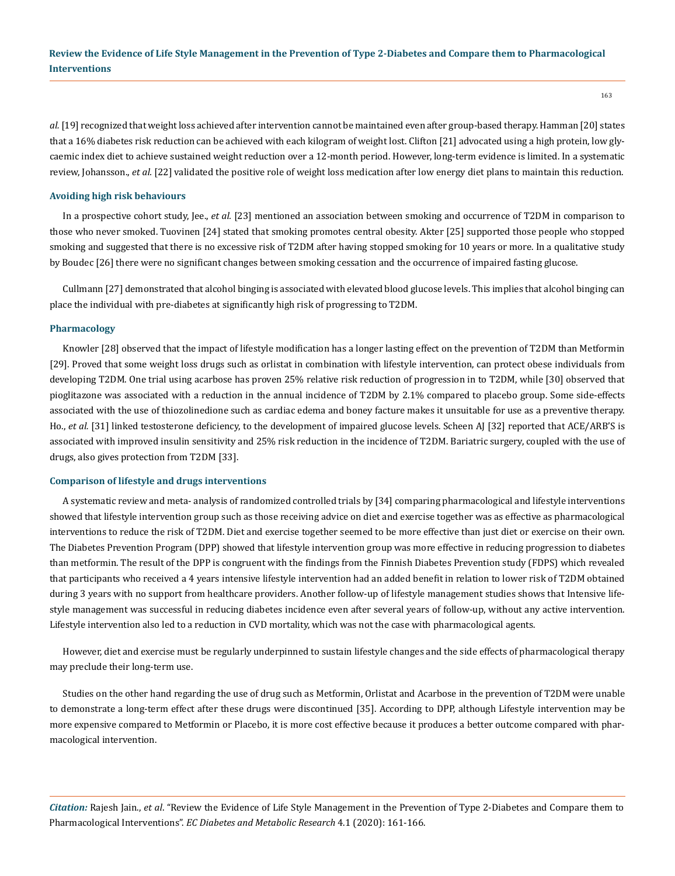*al.* [19] recognized that weight loss achieved after intervention cannot be maintained even after group-based therapy. Hamman [20] states that a 16% diabetes risk reduction can be achieved with each kilogram of weight lost. Clifton [21] advocated using a high protein, low glycaemic index diet to achieve sustained weight reduction over a 12-month period. However, long-term evidence is limited. In a systematic review, Johansson., *et al.* [22] validated the positive role of weight loss medication after low energy diet plans to maintain this reduction.

## **Avoiding high risk behaviours**

In a prospective cohort study, Jee., *et al.* [23] mentioned an association between smoking and occurrence of T2DM in comparison to those who never smoked. Tuovinen [24] stated that smoking promotes central obesity. Akter [25] supported those people who stopped smoking and suggested that there is no excessive risk of T2DM after having stopped smoking for 10 years or more. In a qualitative study by Boudec [26] there were no significant changes between smoking cessation and the occurrence of impaired fasting glucose.

Cullmann [27] demonstrated that alcohol binging is associated with elevated blood glucose levels. This implies that alcohol binging can place the individual with pre-diabetes at significantly high risk of progressing to T2DM.

#### **Pharmacology**

Knowler [28] observed that the impact of lifestyle modification has a longer lasting effect on the prevention of T2DM than Metformin [29]. Proved that some weight loss drugs such as orlistat in combination with lifestyle intervention, can protect obese individuals from developing T2DM. One trial using acarbose has proven 25% relative risk reduction of progression in to T2DM, while [30] observed that pioglitazone was associated with a reduction in the annual incidence of T2DM by 2.1% compared to placebo group. Some side-effects associated with the use of thiozolinedione such as cardiac edema and boney facture makes it unsuitable for use as a preventive therapy. Ho., *et al.* [31] linked testosterone deficiency, to the development of impaired glucose levels. Scheen AJ [32] reported that ACE/ARB'S is associated with improved insulin sensitivity and 25% risk reduction in the incidence of T2DM. Bariatric surgery, coupled with the use of drugs, also gives protection from T2DM [33].

## **Comparison of lifestyle and drugs interventions**

A systematic review and meta- analysis of randomized controlled trials by [34] comparing pharmacological and lifestyle interventions showed that lifestyle intervention group such as those receiving advice on diet and exercise together was as effective as pharmacological interventions to reduce the risk of T2DM. Diet and exercise together seemed to be more effective than just diet or exercise on their own. The Diabetes Prevention Program (DPP) showed that lifestyle intervention group was more effective in reducing progression to diabetes than metformin. The result of the DPP is congruent with the findings from the Finnish Diabetes Prevention study (FDPS) which revealed that participants who received a 4 years intensive lifestyle intervention had an added benefit in relation to lower risk of T2DM obtained during 3 years with no support from healthcare providers. Another follow-up of lifestyle management studies shows that Intensive lifestyle management was successful in reducing diabetes incidence even after several years of follow-up, without any active intervention. Lifestyle intervention also led to a reduction in CVD mortality, which was not the case with pharmacological agents.

However, diet and exercise must be regularly underpinned to sustain lifestyle changes and the side effects of pharmacological therapy may preclude their long-term use.

Studies on the other hand regarding the use of drug such as Metformin, Orlistat and Acarbose in the prevention of T2DM were unable to demonstrate a long-term effect after these drugs were discontinued [35]. According to DPP, although Lifestyle intervention may be more expensive compared to Metformin or Placebo, it is more cost effective because it produces a better outcome compared with pharmacological intervention.

*Citation:* Rajesh Jain., *et al*. "Review the Evidence of Life Style Management in the Prevention of Type 2-Diabetes and Compare them to Pharmacological Interventions". *EC Diabetes and Metabolic Research* 4.1 (2020): 161-166.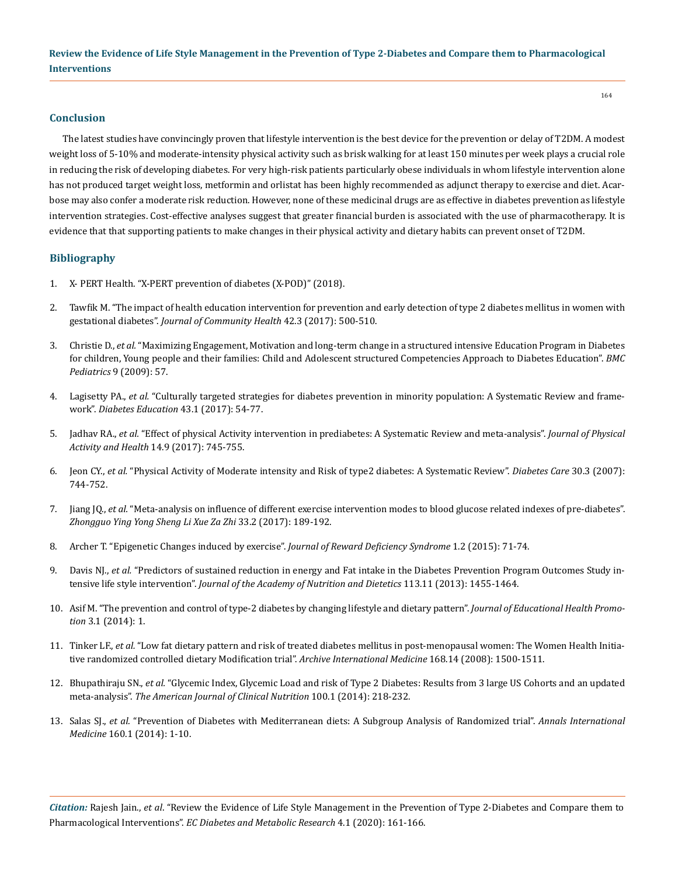## **Conclusion**

The latest studies have convincingly proven that lifestyle intervention is the best device for the prevention or delay of T2DM. A modest weight loss of 5-10% and moderate-intensity physical activity such as brisk walking for at least 150 minutes per week plays a crucial role in reducing the risk of developing diabetes. For very high-risk patients particularly obese individuals in whom lifestyle intervention alone has not produced target weight loss, metformin and orlistat has been highly recommended as adjunct therapy to exercise and diet. Acarbose may also confer a moderate risk reduction. However, none of these medicinal drugs are as effective in diabetes prevention as lifestyle intervention strategies. Cost-effective analyses suggest that greater financial burden is associated with the use of pharmacotherapy. It is evidence that that supporting patients to make changes in their physical activity and dietary habits can prevent onset of T2DM.

## **Bibliography**

- 1. [X- PERT Health. "X-PERT prevention of diabetes \(X-POD\)" \(2018\).](https://www.xperthealth.org.uk/Programmes)
- 2. [Tawfik M. "The impact of health education intervention for prevention and early detection of type 2 diabetes mellitus in women with](https://www.ncbi.nlm.nih.gov/pubmed/27743337)  gestational diabetes". *[Journal of Community Health](https://www.ncbi.nlm.nih.gov/pubmed/27743337)* 42.3 (2017): 500-510.
- 3. Christie D., *et al.* ["Maximizing Engagement, Motivation and long-term change in a structured intensive Education Program in Diabetes](https://www.ncbi.nlm.nih.gov/pubmed/19754965)  [for children, Young people and their families: Child and Adolescent structured Competencies Approach to Diabetes Education".](https://www.ncbi.nlm.nih.gov/pubmed/19754965) *BMC Pediatrics* [9 \(2009\): 57.](https://www.ncbi.nlm.nih.gov/pubmed/19754965)
- 4. Lagisetty PA., *et al.* ["Culturally targeted strategies for diabetes prevention in minority population: A Systematic Review and frame](https://www.ncbi.nlm.nih.gov/pmc/articles/PMC5408505/)work". *[Diabetes Education](https://www.ncbi.nlm.nih.gov/pmc/articles/PMC5408505/)* 43.1 (2017): 54-77.
- 5. Jadhav RA., *et al.* ["Effect of physical Activity intervention in prediabetes: A Systematic Review and meta-analysis".](https://www.ncbi.nlm.nih.gov/pubmed/28422560) *Journal of Physical [Activity and Health](https://www.ncbi.nlm.nih.gov/pubmed/28422560)* 14.9 (2017): 745-755.
- 6. Jeon CY., *et al.* ["Physical Activity of Moderate intensity and Risk of type2 diabetes: A Systematic Review".](https://www.ncbi.nlm.nih.gov/pubmed/17327354) *Diabetes Care* 30.3 (2007): [744-752.](https://www.ncbi.nlm.nih.gov/pubmed/17327354)
- 7. Jiang JQ., *et al.* ["Meta-analysis on influence of different exercise intervention modes to blood glucose related indexes of pre-diabetes".](https://europepmc.org/abstract/med/29931930)  *[Zhongguo Ying Yong Sheng Li Xue Za Zhi](https://europepmc.org/abstract/med/29931930)* 33.2 (2017): 189-192.
- 8. [Archer T. "Epigenetic Changes induced by exercise".](http://www.blumsrewarddeficiencysyndrome.com/articles/v1n1/jrds-011-trevor-archer.html) *Journal of Reward Deficiency Syndrome* 1.2 (2015): 71-74.
- 9. Davis NI., et al. ["Predictors of sustained reduction in energy and Fat intake in the Diabetes Prevention Program Outcomes Study in](https://www.ncbi.nlm.nih.gov/pubmed/24144073)tensive life style intervention". *[Journal of the Academy of Nutrition and Dietetics](https://www.ncbi.nlm.nih.gov/pubmed/24144073)* 113.11 (2013): 1455-1464.
- 10. [Asif M. "The prevention and control of type-2 diabetes by changing lifestyle and dietary pattern".](https://www.ncbi.nlm.nih.gov/pmc/articles/PMC3977406/) *Journal of Educational Health Promotion* [3.1 \(2014\): 1.](https://www.ncbi.nlm.nih.gov/pmc/articles/PMC3977406/)
- 11. Tinker LF., *et al.* ["Low fat dietary pattern and risk of treated diabetes mellitus in post-menopausal women: The Women Health Initia](https://www.ncbi.nlm.nih.gov/pubmed/18663162)[tive randomized controlled dietary Modification trial".](https://www.ncbi.nlm.nih.gov/pubmed/18663162) *Archive International Medicine* 168.14 (2008): 1500-1511.
- 12. Bhupathiraju SN., *et al.* ["Glycemic Index, Glycemic Load and risk of Type 2 Diabetes: Results from 3 large US Cohorts and an updated](https://www.ncbi.nlm.nih.gov/pubmed/24787496)  meta-analysis". *[The American Journal of Clinical Nutrition](https://www.ncbi.nlm.nih.gov/pubmed/24787496)* 100.1 (2014): 218-232.
- 13. Salas SJ., *et al.* ["Prevention of Diabetes with Mediterranean diets: A Subgroup Analysis of Randomized trial".](https://www.ncbi.nlm.nih.gov/pubmed/24573661) *Annals International Medicine* [160.1 \(2014\): 1-10.](https://www.ncbi.nlm.nih.gov/pubmed/24573661)

*Citation:* Rajesh Jain., *et al*. "Review the Evidence of Life Style Management in the Prevention of Type 2-Diabetes and Compare them to Pharmacological Interventions". *EC Diabetes and Metabolic Research* 4.1 (2020): 161-166.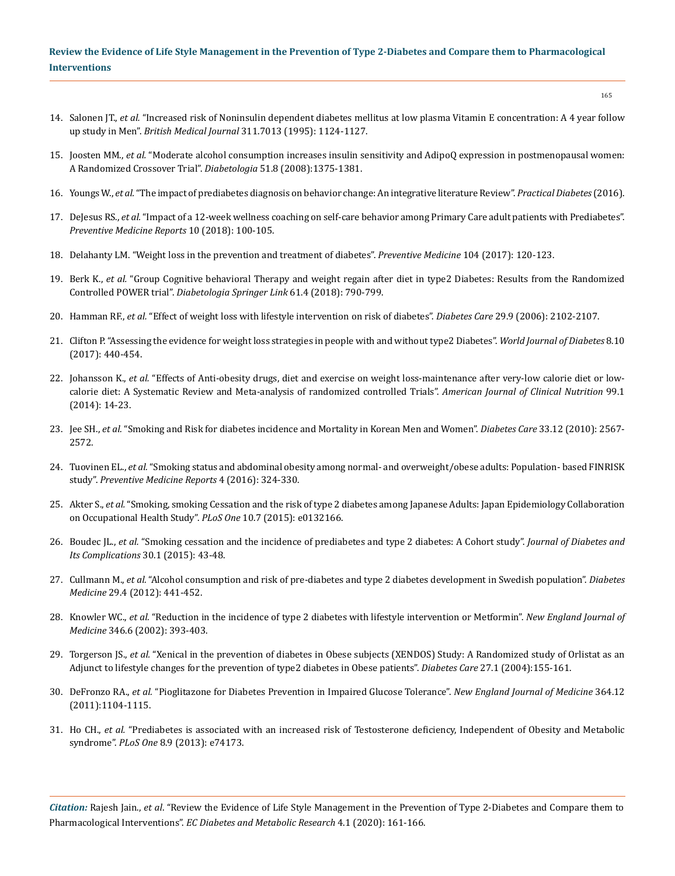## **Review the Evidence of Life Style Management in the Prevention of Type 2-Diabetes and Compare them to Pharmacological Interventions**

- 14. Salonen JT., *et al.* ["Increased risk of Noninsulin dependent diabetes mellitus at low plasma Vitamin E concentration: A 4 year follow](https://www.ncbi.nlm.nih.gov/pubmed/7580706)  up study in Men". *British Medical Journal* [311.7013 \(1995\): 1124-1127.](https://www.ncbi.nlm.nih.gov/pubmed/7580706)
- 15. Joosten MM., *et al.* ["Moderate alcohol consumption increases insulin sensitivity and AdipoQ expression in postmenopausal women:](https://www.ncbi.nlm.nih.gov/pubmed/18504547)  [A Randomized Crossover Trial".](https://www.ncbi.nlm.nih.gov/pubmed/18504547) *Diabetologia* 51.8 (2008):1375-1381.
- 16. Youngs W., *et al.* ["The impact of prediabetes diagnosis on behavior change: An integrative literature Review".](https://www.practicaldiabetes.com/article/impact-pre-diabetes-diagnosis-behaviour-change-integrative-literature-review/) *Practical Diabetes* (2016).
- 17. DeJesus RS., *et al.* "Impact of a 12-week wellness coaching on self-care behavior among Primary Care adult patients with Prediabetes". *[Preventive Medicine Reports](https://www.ncbi.nlm.nih.gov/pubmed/29850394)* 10 (2018): 100-105.
- 18. [Delahanty LM. "Weight loss in the prevention and treatment of diabetes".](https://www.ncbi.nlm.nih.gov/pubmed/28757449) *Preventive Medicine* 104 (2017): 120-123.
- 19. Berk K., *et al.* ["Group Cognitive behavioral Therapy and weight regain after diet in type2 Diabetes: Results from the Randomized](https://www.ncbi.nlm.nih.gov/pubmed/29318342)  Controlled POWER trial". *[Diabetologia Springer Link](https://www.ncbi.nlm.nih.gov/pubmed/29318342)* 61.4 (2018): 790-799.
- 20. Hamman RF., *et al.* ["Effect of weight loss with lifestyle intervention on risk of diabetes".](https://www.ncbi.nlm.nih.gov/pubmed/16936160) *Diabetes Care* 29.9 (2006): 2102-2107.
- 21. [Clifton P. "Assessing the evidence for weight loss strategies in people with and without type2 Diabetes".](https://www.ncbi.nlm.nih.gov/pmc/articles/PMC5648990/) *World Journal of Diabetes* 8.10 [\(2017\): 440-454.](https://www.ncbi.nlm.nih.gov/pmc/articles/PMC5648990/)
- 22. Johansson K., *et al.* ["Effects of Anti-obesity drugs, diet and exercise on weight loss-maintenance after very-low calorie diet or low](https://www.ncbi.nlm.nih.gov/pmc/articles/PMC3862452/)[calorie diet: A Systematic Review and Meta-analysis of randomized controlled Trials".](https://www.ncbi.nlm.nih.gov/pmc/articles/PMC3862452/) *American Journal of Clinical Nutrition* 99.1 [\(2014\): 14-23.](https://www.ncbi.nlm.nih.gov/pmc/articles/PMC3862452/)
- 23. Jee SH., *et al.* ["Smoking and Risk for diabetes incidence and Mortality in Korean Men and Women".](https://www.ncbi.nlm.nih.gov/pubmed/20823342) *Diabetes Care* 33.12 (2010): 2567- [2572.](https://www.ncbi.nlm.nih.gov/pubmed/20823342)
- 24. Tuovinen EL., *et al.* ["Smoking status and abdominal obesity among normal- and overweight/obese adults: Population- based FINRISK](https://www.ncbi.nlm.nih.gov/pmc/articles/PMC4959936/)  study". *[Preventive Medicine Reports](https://www.ncbi.nlm.nih.gov/pmc/articles/PMC4959936/)* 4 (2016): 324-330.
- 25. Akter S., *et al.* ["Smoking, smoking Cessation and the risk of type 2 diabetes among Japanese Adults: Japan Epidemiology Collaboration](https://www.ncbi.nlm.nih.gov/pubmed/26200457)  [on Occupational Health Study".](https://www.ncbi.nlm.nih.gov/pubmed/26200457) *PLoS One* 10.7 (2015): e0132166.
- 26. Boudec JL., *et al.* ["Smoking cessation and the incidence of prediabetes and type 2 diabetes: A Cohort study".](https://www.ncbi.nlm.nih.gov/pubmed/26547408) *Journal of Diabetes and [Its Complications](https://www.ncbi.nlm.nih.gov/pubmed/26547408)* 30.1 (2015): 43-48.
- 27. Cullmann M., *et al.* ["Alcohol consumption and risk of pre-diabetes and type 2 diabetes development in Swedish population".](https://www.ncbi.nlm.nih.gov/pubmed/21916972) *Diabetes Medicine* [29.4 \(2012\): 441-452.](https://www.ncbi.nlm.nih.gov/pubmed/21916972)
- 28. Knowler WC., *et al.* ["Reduction in the incidence of type 2 diabetes with lifestyle intervention or Metformin".](https://www.ncbi.nlm.nih.gov/pubmed/11832527) *New England Journal of Medicine* [346.6 \(2002\): 393-403.](https://www.ncbi.nlm.nih.gov/pubmed/11832527)
- 29. Torgerson JS., *et al.* ["Xenical in the prevention of diabetes in Obese subjects \(XENDOS\) Study: A Randomized study of Orlistat as an](https://www.ncbi.nlm.nih.gov/pubmed/14693982)  [Adjunct to lifestyle changes for the prevention of type2 diabetes in Obese patients".](https://www.ncbi.nlm.nih.gov/pubmed/14693982) *Diabetes Care* 27.1 (2004):155-161.
- 30. DeFronzo RA., *et al.* ["Pioglitazone for Diabetes Prevention in Impaired Glucose Tolerance".](https://www.nejm.org/doi/full/10.1056/NEJMoa1010949) *New England Journal of Medicine* 364.12 [\(2011\):1104-1115.](https://www.nejm.org/doi/full/10.1056/NEJMoa1010949)
- 31. Ho CH., *et al.* ["Prediabetes is associated with an increased risk of Testosterone deficiency, Independent of Obesity and Metabolic](https://www.ncbi.nlm.nih.gov/pubmed/24069277)  syndrome". *PLoS One* [8.9 \(2013\): e74173.](https://www.ncbi.nlm.nih.gov/pubmed/24069277)

*Citation:* Rajesh Jain., *et al*. "Review the Evidence of Life Style Management in the Prevention of Type 2-Diabetes and Compare them to Pharmacological Interventions". *EC Diabetes and Metabolic Research* 4.1 (2020): 161-166.